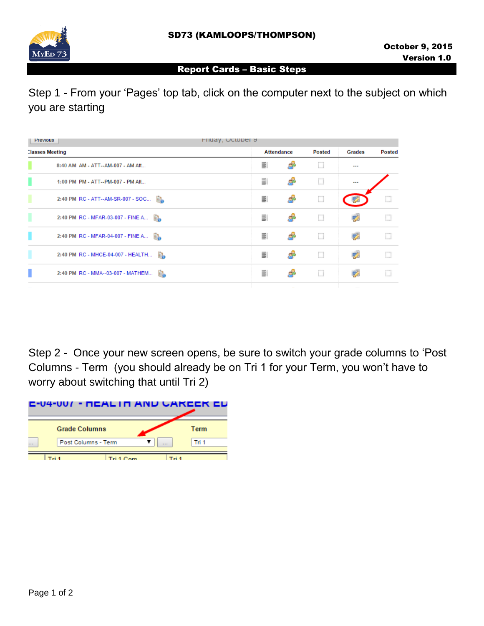

## Report Cards – Basic Steps

Step 1 - From your 'Pages' top tab, click on the computer next to the subject on which you are starting

| Friday, October 9<br>Previous         |                   |   |               |         |               |
|---------------------------------------|-------------------|---|---------------|---------|---------------|
| <b>Classes Meeting</b>                | <b>Attendance</b> |   | <b>Posted</b> | Grades  | <b>Posted</b> |
| 8:40 AM AM - ATT--AM-007 - AM Att     | 틀                 |   | Ш             | $- - -$ |               |
| 1:00 PM PM - ATT--PM-007 - PM Att     | ΞI                |   | Ш             |         |               |
| 2:40 PM RC - ATT--AM-SR-007 - SOC [1] | ΞI                | Æ | П             | 34      | $\Box$        |
| 2:40 PM RC - MFAR-03-007 - FINE A     | 事                 |   | Ш             | 52      |               |
| 2:40 PM RC - MFAR-04-007 - FINE A     | ΞI                |   | □             | 夥       | □             |
| 2:40 PM RC - MHCE-04-007 - HEALTH     | ΞI                | Æ | Ш             | 竪       |               |
| 2:40 PM RC - MMA--03-007 - MATHEM     | 事                 |   | Ш             |         |               |
|                                       |                   |   |               |         |               |

Step 2 - Once your new screen opens, be sure to switch your grade columns to 'Post Columns - Term (you should already be on Tri 1 for your Term, you won't have to worry about switching that until Tri 2)